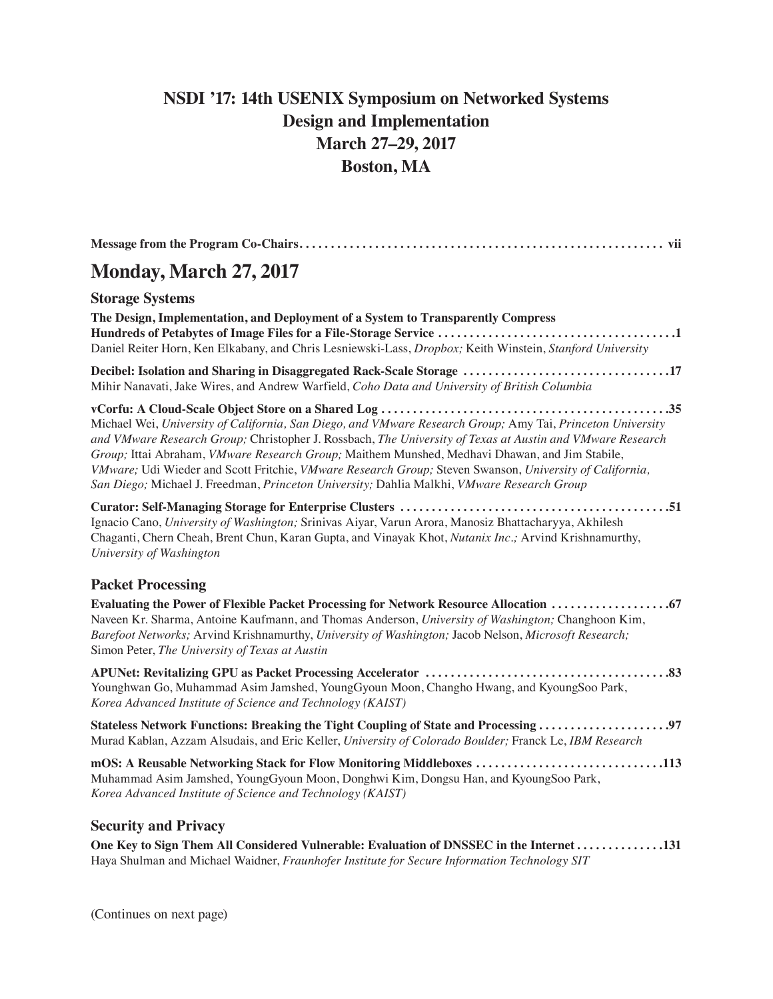# **NSDI '17: 14th USENIX Symposium on Networked Systems Design and Implementation March 27–29, 2017 Boston, MA**

| <b>Monday, March 27, 2017</b>                                                                                                                                                                                                                                                                                                                                                                                                                                                                                                      |
|------------------------------------------------------------------------------------------------------------------------------------------------------------------------------------------------------------------------------------------------------------------------------------------------------------------------------------------------------------------------------------------------------------------------------------------------------------------------------------------------------------------------------------|
| <b>Storage Systems</b>                                                                                                                                                                                                                                                                                                                                                                                                                                                                                                             |
| The Design, Implementation, and Deployment of a System to Transparently Compress<br>Daniel Reiter Horn, Ken Elkabany, and Chris Lesniewski-Lass, Dropbox; Keith Winstein, Stanford University                                                                                                                                                                                                                                                                                                                                      |
| Decibel: Isolation and Sharing in Disaggregated Rack-Scale Storage 17<br>Mihir Nanavati, Jake Wires, and Andrew Warfield, Coho Data and University of British Columbia                                                                                                                                                                                                                                                                                                                                                             |
| Michael Wei, University of California, San Diego, and VMware Research Group; Amy Tai, Princeton University<br>and VMware Research Group; Christopher J. Rossbach, The University of Texas at Austin and VMware Research<br>Group; Ittai Abraham, VMware Research Group; Maithem Munshed, Medhavi Dhawan, and Jim Stabile,<br>VMware; Udi Wieder and Scott Fritchie, VMware Research Group; Steven Swanson, University of California,<br>San Diego; Michael J. Freedman, Princeton University; Dahlia Malkhi, VMware Research Group |
| Ignacio Cano, University of Washington; Srinivas Aiyar, Varun Arora, Manosiz Bhattacharyya, Akhilesh<br>Chaganti, Chern Cheah, Brent Chun, Karan Gupta, and Vinayak Khot, Nutanix Inc.; Arvind Krishnamurthy,<br>University of Washington                                                                                                                                                                                                                                                                                          |
| <b>Packet Processing</b>                                                                                                                                                                                                                                                                                                                                                                                                                                                                                                           |
| Evaluating the Power of Flexible Packet Processing for Network Resource Allocation  67<br>Naveen Kr. Sharma, Antoine Kaufmann, and Thomas Anderson, University of Washington; Changhoon Kim,<br>Barefoot Networks; Arvind Krishnamurthy, University of Washington; Jacob Nelson, Microsoft Research;<br>Simon Peter, The University of Texas at Austin                                                                                                                                                                             |
| Younghwan Go, Muhammad Asim Jamshed, YoungGyoun Moon, Changho Hwang, and KyoungSoo Park,<br>Korea Advanced Institute of Science and Technology (KAIST)                                                                                                                                                                                                                                                                                                                                                                             |
| Murad Kablan, Azzam Alsudais, and Eric Keller, University of Colorado Boulder; Franck Le, IBM Research                                                                                                                                                                                                                                                                                                                                                                                                                             |
| mOS: A Reusable Networking Stack for Flow Monitoring Middleboxes 113<br>Muhammad Asim Jamshed, YoungGyoun Moon, Donghwi Kim, Dongsu Han, and KyoungSoo Park,<br>Korea Advanced Institute of Science and Technology (KAIST)                                                                                                                                                                                                                                                                                                         |
| <b>Security and Privacy</b>                                                                                                                                                                                                                                                                                                                                                                                                                                                                                                        |

**One Key to Sign Them All Considered Vulnerable: Evaluation of DNSSEC in the Internet . . . . . . . . . . . . . 131** Haya Shulman and Michael Waidner, *Fraunhofer Institute for Secure Information Technology SIT*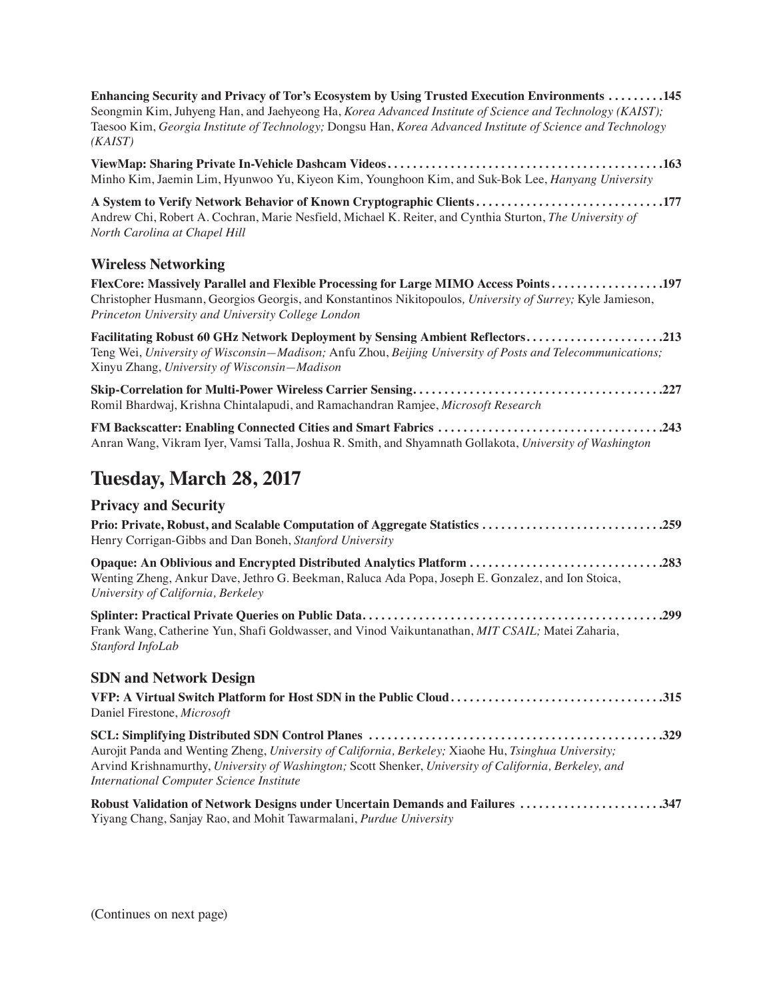**Enhancing Security and Privacy of Tor's Ecosystem by Using Trusted Execution Environments . . . . . . . . 145** Seongmin Kim, Juhyeng Han, and Jaehyeong Ha, *Korea Advanced Institute of Science and Technology (KAIST);* Taesoo Kim, *Georgia Institute of Technology;* Dongsu Han, *Korea Advanced Institute of Science and Technology (KAIST)*

**ViewMap: Sharing Private In-Vehicle Dashcam Videos . . . . . . . . . . . . . . . . . . . . . . . . . . . . . . . . . . . . . . . . . . . 163** Minho Kim, Jaemin Lim, Hyunwoo Yu, Kiyeon Kim, Younghoon Kim, and Suk-Bok Lee, *Hanyang University*

**A System to Verify Network Behavior of Known Cryptographic Clients . . . . . . . . . . . . . . . . . . . . . . . . . . . . . 177** Andrew Chi, Robert A. Cochran, Marie Nesfield, Michael K. Reiter, and Cynthia Sturton, *The University of North Carolina at Chapel Hill*

### **Wireless Networking**

**FlexCore: Massively Parallel and Flexible Processing for Large MIMO Access Points . . . . . . . . . . . . . . . . . 197** Christopher Husmann, Georgios Georgis, and Konstantinos Nikitopoulos*, University of Surrey;* Kyle Jamieson, *Princeton University and University College London*

| Facilitating Robust 60 GHz Network Deployment by Sensing Ambient Reflectors213                            |  |
|-----------------------------------------------------------------------------------------------------------|--|
| Teng Wei, University of Wisconsin–Madison; Anfu Zhou, Beijing University of Posts and Telecommunications; |  |
| Xinyu Zhang, University of Wisconsin—Madison                                                              |  |

**Skip-Correlation for Multi-Power Wireless Carrier Sensing . . . . . . . . . . . . . . . . . . . . . . . . . . . . . . . . . . . . . . . 227** Romil Bhardwaj, Krishna Chintalapudi, and Ramachandran Ramjee, *Microsoft Research*

**FM Backscatter: Enabling Connected Cities and Smart Fabrics . . . . . . . . . . . . . . . . . . . . . . . . . . . . . . . . . . . 243** Anran Wang, Vikram Iyer, Vamsi Talla, Joshua R. Smith, and Shyamnath Gollakota, *University of Washington*

## **Tuesday, March 28, 2017**

## **Privacy and Security**

| Prio: Private, Robust, and Scalable Computation of Aggregate Statistics 259<br>Henry Corrigan-Gibbs and Dan Boneh, Stanford University                                                                            |  |
|-------------------------------------------------------------------------------------------------------------------------------------------------------------------------------------------------------------------|--|
| Opaque: An Oblivious and Encrypted Distributed Analytics Platform 283<br>Wenting Zheng, Ankur Dave, Jethro G. Beekman, Raluca Ada Popa, Joseph E. Gonzalez, and Ion Stoica,<br>University of California, Berkeley |  |
| Frank Wang, Catherine Yun, Shafi Goldwasser, and Vinod Vaikuntanathan, MIT CSAIL; Matei Zaharia,                                                                                                                  |  |

**SDN and Network Design**

*Stanford InfoLab*

| VFP: A Virtual Switch Platform for Host SDN in the Public Cloud315<br>Daniel Firestone, Microsoft                                                                                                                                                          |  |
|------------------------------------------------------------------------------------------------------------------------------------------------------------------------------------------------------------------------------------------------------------|--|
| Aurojit Panda and Wenting Zheng, University of California, Berkeley; Xiaohe Hu, Tsinghua University;<br>Arvind Krishnamurthy, University of Washington; Scott Shenker, University of California, Berkeley, and<br>International Computer Science Institute |  |
| Robust Validation of Network Designs under Uncertain Demands and Failures 347                                                                                                                                                                              |  |

Yiyang Chang, Sanjay Rao, and Mohit Tawarmalani, *Purdue University*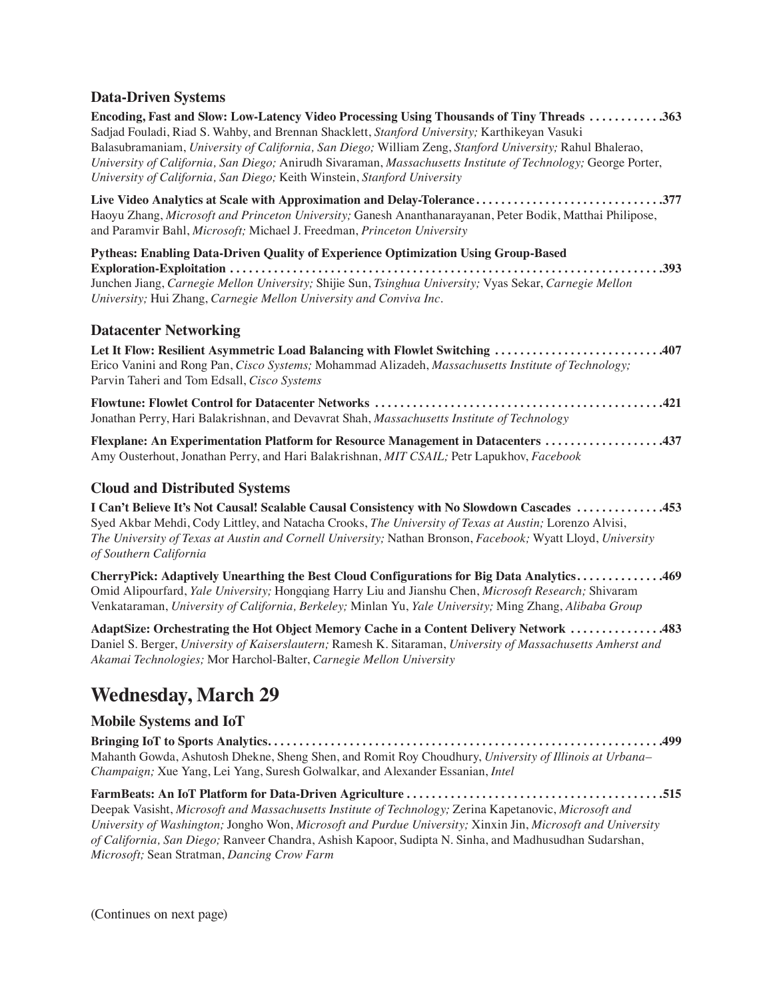### **Data-Driven Systems**

**Encoding, Fast and Slow: Low-Latency Video Processing Using Thousands of Tiny Threads . . . . . . . . . . . 363** Sadjad Fouladi, Riad S. Wahby, and Brennan Shacklett, *Stanford University;* Karthikeyan Vasuki Balasubramaniam, *University of California, San Diego;* William Zeng, *Stanford University;* Rahul Bhalerao, *University of California, San Diego;* Anirudh Sivaraman, *Massachusetts Institute of Technology;* George Porter, *University of California, San Diego;* Keith Winstein, *Stanford University* **Live Video Analytics at Scale with Approximation and Delay-Tolerance . . . . . . . . . . . . . . . . . . . . . . . . . . . . . 377** Haoyu Zhang, *Microsoft and Princeton University;* Ganesh Ananthanarayanan, Peter Bodik, Matthai Philipose, and Paramvir Bahl, *Microsoft;* Michael J. Freedman, *Princeton University* **Pytheas: Enabling Data-Driven Quality of Experience Optimization Using Group-Based Exploration-Exploitation . . . . . . . . . . . . . . . . . . . . . . . . . . . . . . . . . . . . . . . . . . . . . . . . . . . . . . . . . . . . . . . . . . . . 393**

Junchen Jiang, *Carnegie Mellon University;* Shijie Sun, *Tsinghua University;* Vyas Sekar, *Carnegie Mellon University;* Hui Zhang, *Carnegie Mellon University and Conviva Inc.*

#### **Datacenter Networking**

**Let It Flow: Resilient Asymmetric Load Balancing with Flowlet Switching . . . . . . . . . . . . . . . . . . . . . . . . . . 407** Erico Vanini and Rong Pan, *Cisco Systems;* Mohammad Alizadeh, *Massachusetts Institute of Technology;*  Parvin Taheri and Tom Edsall, *Cisco Systems*

**Flowtune: Flowlet Control for Datacenter Networks . . . . . . . . . . . . . . . . . . . . . . . . . . . . . . . . . . . . . . . . . . . . . 421** Jonathan Perry, Hari Balakrishnan, and Devavrat Shah, *Massachusetts Institute of Technology*

**Flexplane: An Experimentation Platform for Resource Management in Datacenters . . . . . . . . . . . . . . . . . . 437** Amy Ousterhout, Jonathan Perry, and Hari Balakrishnan, *MIT CSAIL;* Petr Lapukhov, *Facebook*

#### **Cloud and Distributed Systems**

**I Can't Believe It's Not Causal! Scalable Causal Consistency with No Slowdown Cascades . . . . . . . . . . . . . 453** Syed Akbar Mehdi, Cody Littley, and Natacha Crooks, *The University of Texas at Austin;* Lorenzo Alvisi, *The University of Texas at Austin and Cornell University;* Nathan Bronson, *Facebook;* Wyatt Lloyd, *University of Southern California*

**CherryPick: Adaptively Unearthing the Best Cloud Configurations for Big Data Analytics . . . . . . . . . . . . . 469** Omid Alipourfard, *Yale University;* Hongqiang Harry Liu and Jianshu Chen, *Microsoft Research;* Shivaram Venkataraman, *University of California, Berkeley;* Minlan Yu, *Yale University;* Ming Zhang, *Alibaba Group*

**AdaptSize: Orchestrating the Hot Object Memory Cache in a Content Delivery Network . . . . . . . . . . . . . . 483** Daniel S. Berger, *University of Kaiserslautern;* Ramesh K. Sitaraman, *University of Massachusetts Amherst and Akamai Technologies;* Mor Harchol-Balter, *Carnegie Mellon University*

## **Wednesday, March 29**

#### **Mobile Systems and IoT**

**Bringing IoT to Sports Analytics . . . . . . . . . . . . . . . . . . . . . . . . . . . . . . . . . . . . . . . . . . . . . . . . . . . . . . . . . . . . . . 499** Mahanth Gowda, Ashutosh Dhekne, Sheng Shen, and Romit Roy Choudhury, *University of Illinois at Urbana– Champaign;* Xue Yang, Lei Yang, Suresh Golwalkar, and Alexander Essanian, *Intel*

**FarmBeats: An IoT Platform for Data-Driven Agriculture . . . . . . . . . . . . . . . . . . . . . . . . . . . . . . . . . . . . . . . . 515** Deepak Vasisht, *Microsoft and Massachusetts Institute of Technology;* Zerina Kapetanovic, *Microsoft and University of Washington;* Jongho Won, *Microsoft and Purdue University;* Xinxin Jin, *Microsoft and University of California, San Diego;* Ranveer Chandra, Ashish Kapoor, Sudipta N. Sinha, and Madhusudhan Sudarshan, *Microsoft;* Sean Stratman, *Dancing Crow Farm*